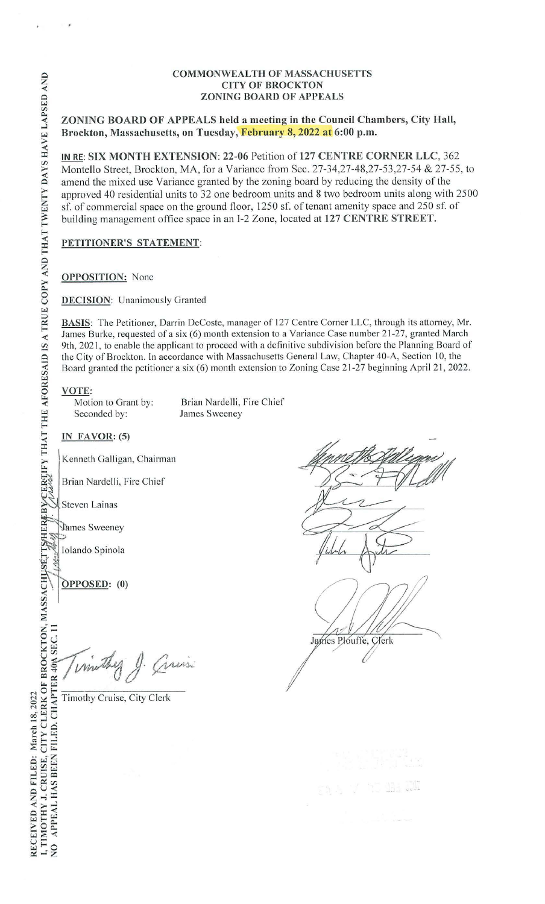**ZONING BOARD OF APPEALS held a meeting in the Council Chambers, City Hall, Brockton, Massachusetts, on Tuesday, February 8, 2022 at 6:00 p.m.** 

**IN RE: SIX MONTH EXTENSION: 22-06** Petition of **127 CENTRE CORNER LLC,** 362 Montello Street, Brockton, MA, for a Variance from Sec. 27-34,27-48,27-53,27-54 & 27-55, to amend the mixed use Variance granted by the zoning board by reducing the density of the approved 40 residential units to 32 one bedroom units and 8 two bedroom units along with 2500 sf. of commercial space on the ground floor, 1250 sf. of tenant amenity space and 250 sf. of building management office space in an f-2 Zone, located at **127 CENTRE STREET.** 

**PETITIONER'S STATEMENT:** 

## **OPPOSITION:** None

**DECISION:** Unanimously Granted

**BASIS:** The Petitioner, Darrin DeCoste, manager of 127 Centre Corner LLC, through its attorney, Mr. James Burke, requested of a six (6) month extension to a Variance Case number 21-27, granted March 9th, 2021, to enable the applicant to proceed with a definitive subdivision before the Planning Board of the City of Brockton. In accordance with Massachusetts General Law, Chapter 40-A, Section 10, the Board granted the petitioner a six (6) month extension to Zoning Case 21-27 beginning April 21, 2022.

**VOTE:**<br>Motion to Grant by:

Motion to Grant by: Brian Nardelli, Fire Chief<br>Seconded by: James Sweeney James Sweeney

**IN FAVOR: (5)** 

Kenneth Galligan, Chairman

Brian Nardelli, Fire Chief

Steven Lainas

James Sweeney

Iolando Spinola

**OPPOSED:** (0)

1. Guis mothy

Timothy Cruise, City Clerk



I, TIMOTHY J. CRUISE, CITY CLERK OF BROCKTON, MASSACHUSÉTTSHER BYCERTIFY THAT THE AFORESAID IS A TRUE COPY AND THAT TWENTY DAYS HAVE LAPSED AND NO APPEAL HAS BEEN FILED. CHAPTER 40% SEC. 11 RECEIVED AND FILED: March 18, 2022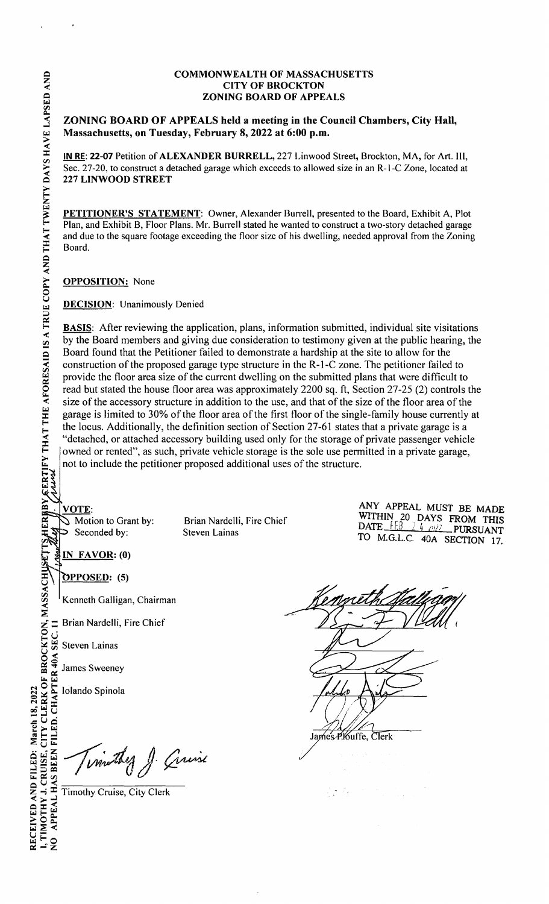**ZONING BOARD OF APPEALS held a meeting in the Council Chambers, City Hall, Massachusetts, on Tuesday, February 8, 2022 at 6:00 p.m.** 

**IN RE: 22-07** Petition of **ALEXANDER BURRELL,** 227 Linwood Street, Brockton, MA, for Art. III, Sec. 27-20, to construct a detached garage which exceeds to allowed size in an R-1-C Zone, located at **227 LINWOOD STREET** 

**PETITIONER'S STATEMENT:** Owner, Alexander Burrell, presented to the Board, Exhibit A, Plot Plan, and Exhibit B, Floor Plans. Mr. Burrell stated he wanted to construct a two-story detached garage and due to the square footage exceeding the floor size of his dwelling, needed approval from the Zoning Board.

**OPPOSITION:** None

**DECISION:** Unanimously Denied

**BASIS:** After reviewing the application, plans, information submitted, individual site visitations by the Board members and giving due consideration to testimony given at the public hearing, the Board found that the Petitioner failed to demonstrate a hardship at the site to allow for the construction of the proposed garage type structure in the R-1-C zone. The petitioner failed to provide the floor area size of the current dwelling on the submitted plans that were difficult to read but stated the house floor area was approximately 2200 sq. ft, Section 27-25 (2) controls the size of the accessory structure in addition to the use, and that of the size of the floor area of the garage is limited to 30% of the floor area of the first floor of the single-family house currently at the locus. Additionally, the definition section of Section 27-61 states that a private garage is a "detached, or attached accessory building used only for the storage of private passenger vehicle owned or rented", as such, private vehicle storage is the sole use permitted in a private garage, not to include the petitioner proposed additional uses of the structure.

VOTE: Seconded by: Steven Lainas

S Motion to Grant by: Brian Nardelli, Fire Chief

ANY APPEAL MUST BE MADE WITHIN  $20$  DAYS FROM THIS DATE FEB 2.4 *OR*) PURSUANT TO M.G.L.C. 40A SECTION 17.

IN FAVOR: (0)

**OPPOSED:** (5)

Kenneth Galligan, Chairman

Steven Lainas

**§5** ; James Sweeney

Experience Distribution Steven Lainas<br>  $\frac{2}{3}$  Steven Lainas<br>
Steven Lainas<br>
Steven Lainas<br>
James Sweeney<br>
Lolando Spinola<br>
Compared on the Manuscript<br>
Compared on the City Cler<br>
Compared on the City Cler<br>
Compared on th **Turnsthey** J. Cruise

James PKuffe, Clerk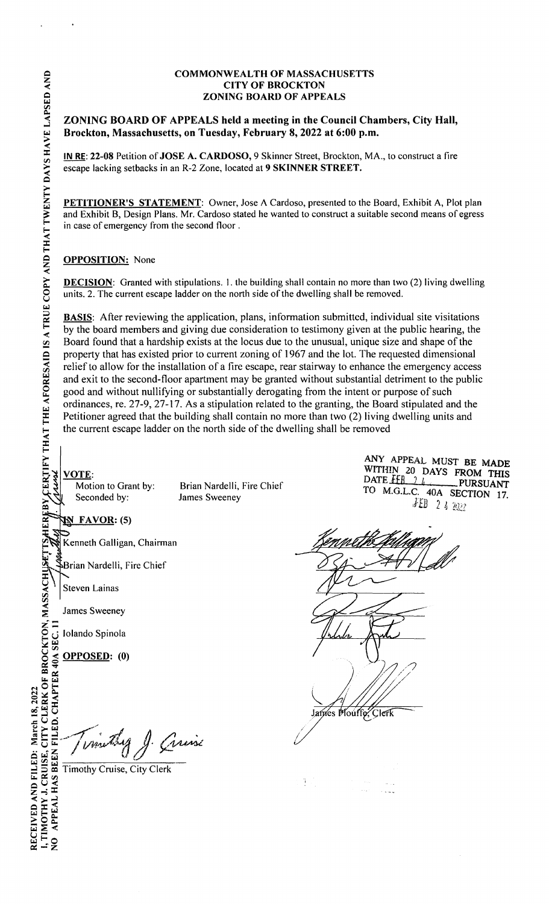**ZONING BOARD OF APPEALS held a meeting in the Council Chambers, City Hall, Brockton, Massachusetts, on Tuesday, February 8, 2022 at 6:00 p.m.** 

**IN RE: 22-08** Petition of **JOSE A. CARDOSO,** 9 Skinner Street, Brockton, MA., to construct a fire escape lacking setbacks in an R-2 Zone, located at **9 SKINNER STREET.** 

**PETITIONER'S STATEMENT:** Owner, Jose A Cardoso, presented to the Board, Exhibit A, Plot plan and Exhibit B, Design Plans. Mr. Cardoso stated he wanted to construct a suitable second means of egress in case of emergency from the second floor .

# **OPPOSITION:** None

**DECISION:** Granted with stipulations. 1. the building shall contain no more than two (2) living dwelling units. 2. The current escape ladder on the north side of the dwelling shall be removed.

**BASIS:** After reviewing the application, plans, information submitted, individual site visitations by the board members and giving due consideration to testimony given at the public hearing, the Board found that a hardship exists at the locus due to the unusual, unique size and shape of the property that has existed prior to current zoning of 1967 and the lot. The requested dimensional relief to allow for the installation of a fire escape, rear stairway to enhance the emergency access and exit to the second-floor apartment may be granted without substantial detriment to the public good and without nullifying or substantially derogating from the intent or purpose of such ordinances, re. 27-9, 27-17. As a stipulation related to the granting, the Board stipulated and the Petitioner agreed that the building shall contain no more than two (2) living dwelling units and the current escape ladder on the north side of the dwelling shall be removed

ANY APPEAL MUST BE MADE WITHIN 20 DAYS FROM THIS **VOTE:**<br>
Motion to Grant by: Brian Nardelli, Fire Chief<br>
Seconded by: James Sweeney James Sweeney and SECTION 17. Seconded by: James Sweeney **ights and the State of A.G.L.C. 40A SECTION 17.**<br>Seconded by: James Sweeney **if B** 2  $\downarrow$  202

**FAVOR: (5)** 

Kenneth Galligan, Chairman

Brian Nardelli, Fire Chief

Steven Lainas

James Sweeney

Iolando Spinola

OPPOSED: (0)

arin

Timothy Cruise, City Clerk

James Mouffe, Clerk */*  $\sim$  . .  $\mathbb{R}^2$ 

I, TIMOTHY J. CRUISE, CITY CLERK OF BROCKTON, MASSACHUSETTS HEREBY CERTIFY THAT THE AFORESAID IS A TRUE COPY AND THAT TWENTY DAYS HAVE LAPSED AND<br>NO APPEAL HAS BEEN FILED. CHAPTER 40A SEC. 11 ////////////////////////////// RECEIVED AND FILED: March 18, 2022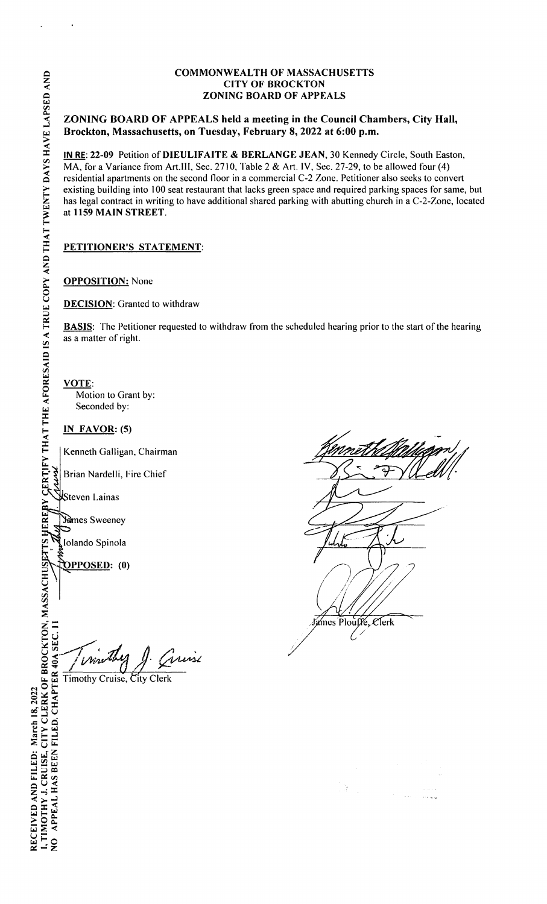## **ZONING BOARD OF APPEALS held a meeting in the Council Chambers, City Hall, Brockton, Massachusetts, on Tuesday, February 8, 2022 at 6:00 p.m.**

**IN RE: 22-09** Petition of **DIEULIFAITE** & **BERLANGE JEAN,** 30 Kennedy Circle, South Easton, MA, for a Variance from Art.III, Sec. 2710, Table 2 & Art. IV, Sec. 27-29, to be allowed four (4) residential apartments on the second floor in a commercial C-2 Zone. Petitioner also seeks to convert existing building into 100 seat restaurant that lacks green space and required parking spaces for same, but has legal contract in writing to have additional shared parking with abutting church in a C-2-Zone, located at **1159 MAIN STREET.** 

# **PETITIONER'S STATEMENT:**

# **OPPOSITION:** None

**DECISION:** Granted to withdraw

**BASIS:** The Petitioner requested to withdraw from the scheduled hearing prior to the start of the hearing as a matter of right.

/

**VOTE:**  Motion to Grant by: Seconded by:

**IN FAVOR:(5)** 

Kenneth Galligan, Chairman

Brian Nardelli, Fire Chief

**Steven Lainas** 

Yames Sweeney

Iolando Spinola

**<u><b>PPOSED</u>**: (0)</u>

Circuise Wire

Timothy Cruise, City Clerk

James Plouffe.  $\ell$ lerk

**WEREBY GERTIFY THAT THE AFORESAID IS A TRUE COPY AND THAT TWENTY DAYS HAVE LAPSED AND** I, TIMOTHY J. CRUISE, CITY CLERK OF BROCKTON, MASSACHUSETTS NO APPEAL HAS BEEN FILED. CHAPTER 40A SEC. 11 RECEIVED AND FILED: March 18, 2022